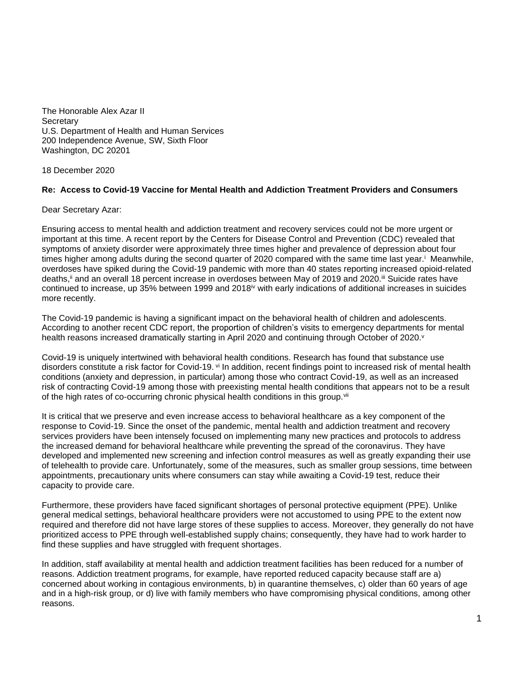The Honorable Alex Azar II **Secretary** U.S. Department of Health and Human Services 200 Independence Avenue, SW, Sixth Floor Washington, DC 20201

18 December 2020

## **Re: Access to Covid-19 Vaccine for Mental Health and Addiction Treatment Providers and Consumers**

Dear Secretary Azar:

Ensuring access to mental health and addiction treatment and recovery services could not be more urgent or important at this time. A recent report by the Centers for Disease Control and Prevention (CDC) revealed that symptoms of anxiety disorder were approximately three times higher and prevalence of depression about four times higher among adults during the second quarter of 2020 compared with the same time last year.<sup>i</sup> Meanwhile, overdoses have spiked during the Covid-19 pandemic with more than 40 states reporting increased opioid-related deaths, i and an overall 18 percent increase in overdoses between May of 2019 and 2020. I Suicide rates have continued to increase, up 35% between 1999 and 2018<sup>iv</sup> with early indications of additional increases in suicides more recently.

The Covid-19 pandemic is having a significant impact on the behavioral health of children and adolescents. According to another recent CDC report, the proportion of children's visits to emergency departments for mental health reasons increased dramatically starting in April 2020 and continuing through October of 2020.<sup>v</sup>

Covid-19 is uniquely intertwined with behavioral health conditions. Research has found that substance use disorders constitute a risk factor for Covid-19. vi In addition, recent findings point to increased risk of mental health conditions (anxiety and depression, in particular) among those who contract Covid-19, as well as an increased risk of contracting Covid-19 among those with preexisting mental health conditions that appears not to be a result of the high rates of co-occurring chronic physical health conditions in this group.<sup>vii</sup>

It is critical that we preserve and even increase access to behavioral healthcare as a key component of the response to Covid-19. Since the onset of the pandemic, mental health and addiction treatment and recovery services providers have been intensely focused on implementing many new practices and protocols to address the increased demand for behavioral healthcare while preventing the spread of the coronavirus. They have developed and implemented new screening and infection control measures as well as greatly expanding their use of telehealth to provide care. Unfortunately, some of the measures, such as smaller group sessions, time between appointments, precautionary units where consumers can stay while awaiting a Covid-19 test, reduce their capacity to provide care.

Furthermore, these providers have faced significant shortages of personal protective equipment (PPE). Unlike general medical settings, behavioral healthcare providers were not accustomed to using PPE to the extent now required and therefore did not have large stores of these supplies to access. Moreover, they generally do not have prioritized access to PPE through well-established supply chains; consequently, they have had to work harder to find these supplies and have struggled with frequent shortages.

In addition, staff availability at mental health and addiction treatment facilities has been reduced for a number of reasons. Addiction treatment programs, for example, have reported reduced capacity because staff are a) concerned about working in contagious environments, b) in quarantine themselves, c) older than 60 years of age and in a high-risk group, or d) live with family members who have compromising physical conditions, among other reasons.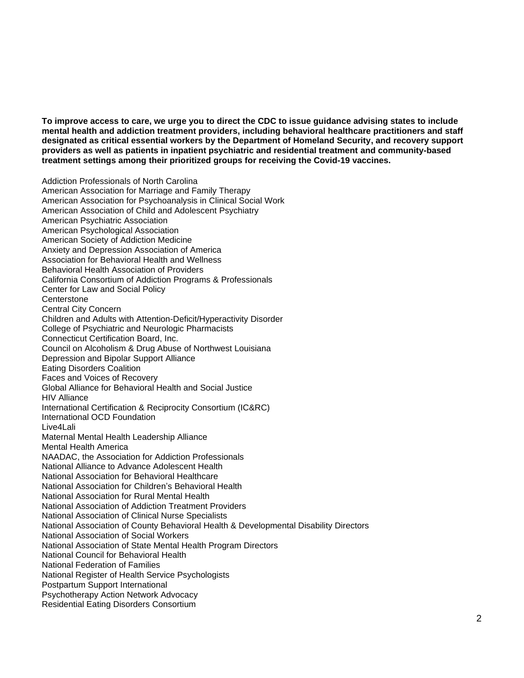**To improve access to care, we urge you to direct the CDC to issue guidance advising states to include mental health and addiction treatment providers, including behavioral healthcare practitioners and staff designated as critical essential workers by the Department of Homeland Security, and recovery support providers as well as patients in inpatient psychiatric and residential treatment and community-based treatment settings among their prioritized groups for receiving the Covid-19 vaccines.** 

Addiction Professionals of North Carolina American Association for Marriage and Family Therapy American Association for Psychoanalysis in Clinical Social Work American Association of Child and Adolescent Psychiatry American Psychiatric Association American Psychological Association American Society of Addiction Medicine Anxiety and Depression Association of America Association for Behavioral Health and Wellness Behavioral Health Association of Providers California Consortium of Addiction Programs & Professionals Center for Law and Social Policy **Centerstone** Central City Concern Children and Adults with Attention-Deficit/Hyperactivity Disorder College of Psychiatric and Neurologic Pharmacists Connecticut Certification Board, Inc. Council on Alcoholism & Drug Abuse of Northwest Louisiana Depression and Bipolar Support Alliance Eating Disorders Coalition Faces and Voices of Recovery Global Alliance for Behavioral Health and Social Justice HIV Alliance International Certification & Reciprocity Consortium (IC&RC) International OCD Foundation Live4Lali Maternal Mental Health Leadership Alliance Mental Health America NAADAC, the Association for Addiction Professionals National Alliance to Advance Adolescent Health National Association for Behavioral Healthcare National Association for Children's Behavioral Health National Association for Rural Mental Health National Association of Addiction Treatment Providers National Association of Clinical Nurse Specialists National Association of County Behavioral Health & Developmental Disability Directors National Association of Social Workers National Association of State Mental Health Program Directors National Council for Behavioral Health National Federation of Families National Register of Health Service Psychologists Postpartum Support International Psychotherapy Action Network Advocacy Residential Eating Disorders Consortium